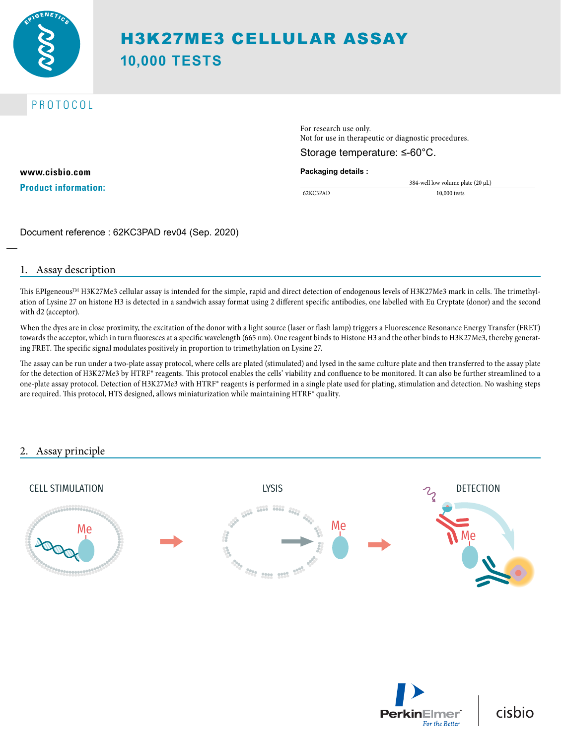

# PROTOCOL

**www.cisbio.com Product information:** For research use only. Not for use in therapeutic or diagnostic procedures.

#### Storage temperature: ≤-60°C.

#### **Packaging details :**

384-well low volume plate (20 µL) 62KC3PAD 10,000 tests

Document reference : 62KC3PAD rev04 (Sep. 2020)

#### 1. Assay description

This EPIgeneous<sup>TM</sup> H3K27Me3 cellular assay is intended for the simple, rapid and direct detection of endogenous levels of H3K27Me3 mark in cells. The trimethylation of Lysine 27 on histone H3 is detected in a sandwich assay format using 2 different specific antibodies, one labelled with Eu Cryptate (donor) and the second with d2 (acceptor).

When the dyes are in close proximity, the excitation of the donor with a light source (laser or flash lamp) triggers a Fluorescence Resonance Energy Transfer (FRET) towards the acceptor, which in turn fluoresces at a specific wavelength (665 nm). One reagent binds to Histone H3 and the other binds to H3K27Me3, thereby generating FRET. The specific signal modulates positively in proportion to trimethylation on Lysine 27.

The assay can be run under a two-plate assay protocol, where cells are plated (stimulated) and lysed in the same culture plate and then transferred to the assay plate for the detection of H3K27Me3 by HTRF® reagents. This protocol enables the cells' viability and confluence to be monitored. It can also be further streamlined to a one-plate assay protocol. Detection of H3K27Me3 with HTRF® reagents is performed in a single plate used for plating, stimulation and detection. No washing steps are required. This protocol, HTS designed, allows miniaturization while maintaining HTRF® quality.

## 2. Assay principle





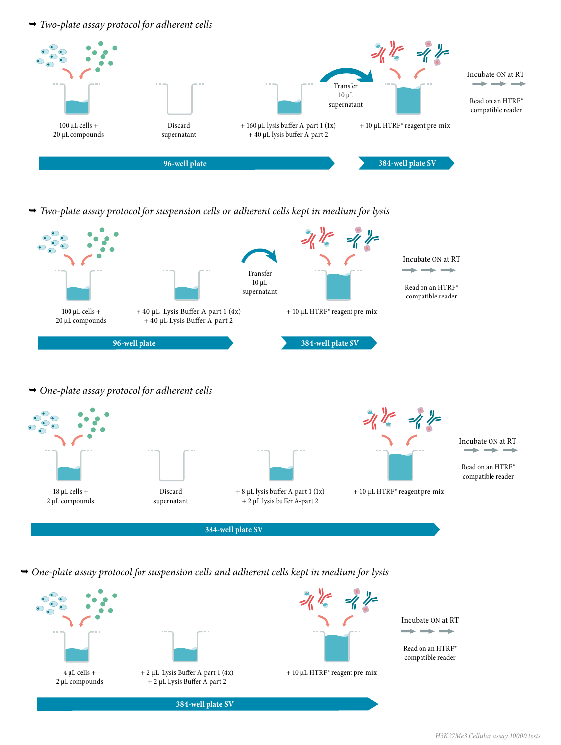*Two-plate assay protocol for adherent cells*



 *Two-plate assay protocol for suspension cells or adherent cells kept in medium for lysis*



 *One-plate assay protocol for suspension cells and adherent cells kept in medium for lysis*

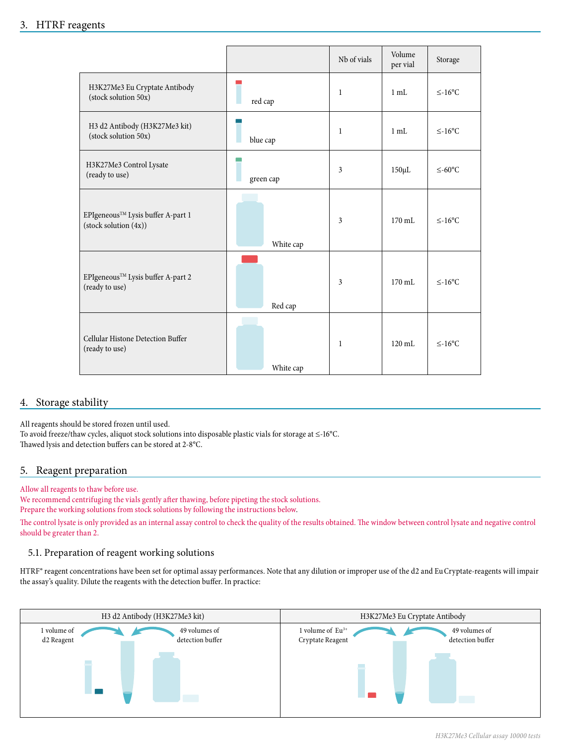## 3. HTRF reagents

|                                                                                                 |           | Nb of vials | Volume<br>per vial | Storage               |
|-------------------------------------------------------------------------------------------------|-----------|-------------|--------------------|-----------------------|
| H3K27Me3 Eu Cryptate Antibody<br>(stock solution 50x)                                           | red cap   | 1           | $1 \text{ mL}$     | $≤-16$ °C             |
| H3 d2 Antibody (H3K27Me3 kit)<br>(stock solution 50x)                                           | blue cap  | 1           | 1 mL               | $≤-16$ °C             |
| H3K27Me3 Control Lysate<br>(ready to use)                                                       | green cap | 3           | $150 \mu L$        | $≤-60$ <sup>o</sup> C |
| $\mathsf{EPI}$ eneous<br>$\mathsf{T}^\mathsf{M}$ Lysis buffer A-part 1<br>(stock solution (4x)) | White cap | 3           | $170 \text{ mL}$   | $\leq$ -16°C          |
| EPIgeneous™ Lysis buffer A-part 2<br>(ready to use)                                             | Red cap   | 3           | $170 \text{ mL}$   | $\leq$ -16°C          |
| Cellular Histone Detection Buffer<br>(ready to use)                                             | White cap | 1           | $120 \text{ mL}$   | $≤-16$ °C             |

## 4. Storage stability

All reagents should be stored frozen until used. To avoid freeze/thaw cycles, aliquot stock solutions into disposable plastic vials for storage at ≤-16°C. Thawed lysis and detection buffers can be stored at 2-8°C.

### 5. Reagent preparation

Allow all reagents to thaw before use.

We recommend centrifuging the vials gently after thawing, before pipeting the stock solutions. Prepare the working solutions from stock solutions by following the instructions below.

The control lysate is only provided as an internal assay control to check the quality of the results obtained. The window between control lysate and negative control should be greater than 2.

### 5.1. Preparation of reagent working solutions

HTRF® reagent concentrations have been set for optimal assay performances. Note that any dilution or improper use of the d2 and Eu Cryptate-reagents will impair the assay's quality. Dilute the reagents with the detection buffer. In practice:

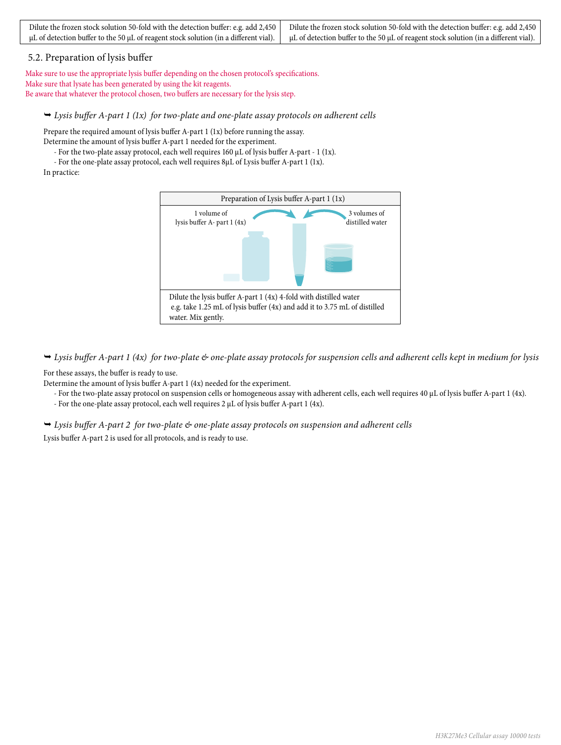| Dilute the frozen stock solution 50-fold with the detection buffer: e.g. add 2,450 Dilute the frozen stock solution 50-fold with the detection buffer: e.g. add 2,450                         |
|-----------------------------------------------------------------------------------------------------------------------------------------------------------------------------------------------|
| $\mu$ L of detection buffer to the 50 $\mu$ L of reagent stock solution (in a different vial). $\mu$ L of detection buffer to the 50 $\mu$ L of reagent stock solution (in a different vial). |

#### 5.2. Preparation of lysis buffer

Make sure to use the appropriate lysis buffer depending on the chosen protocol's specifications. Make sure that lysate has been generated by using the kit reagents. Be aware that whatever the protocol chosen, two buffers are necessary for the lysis step.

#### *Lysis buffer A-part 1 (1x) for two-plate and one-plate assay protocols on adherent cells*

Prepare the required amount of lysis buffer A-part 1 (1x) before running the assay. Determine the amount of lysis buffer A-part 1 needed for the experiment.

- For the two-plate assay protocol, each well requires 160 µL of lysis buffer A-part - 1 (1x).

- For the one-plate assay protocol, each well requires 8µL of Lysis buffer A-part 1 (1x).

In practice:



 *Lysis buffer A-part 1 (4x) for two-plate & one-plate assay protocols for suspension cells and adherent cells kept in medium for lysis* 

For these assays, the buffer is ready to use.

Determine the amount of lysis buffer A-part 1 (4x) needed for the experiment.

- For the two-plate assay protocol on suspension cells or homogeneous assay with adherent cells, each well requires 40 µL of lysis buffer A-part 1 (4x).
- For the one-plate assay protocol, each well requires 2 µL of lysis buffer A-part 1 (4x).

 *Lysis buffer A-part 2 for two-plate & one-plate assay protocols on suspension and adherent cells* 

Lysis buffer A-part 2 is used for all protocols, and is ready to use.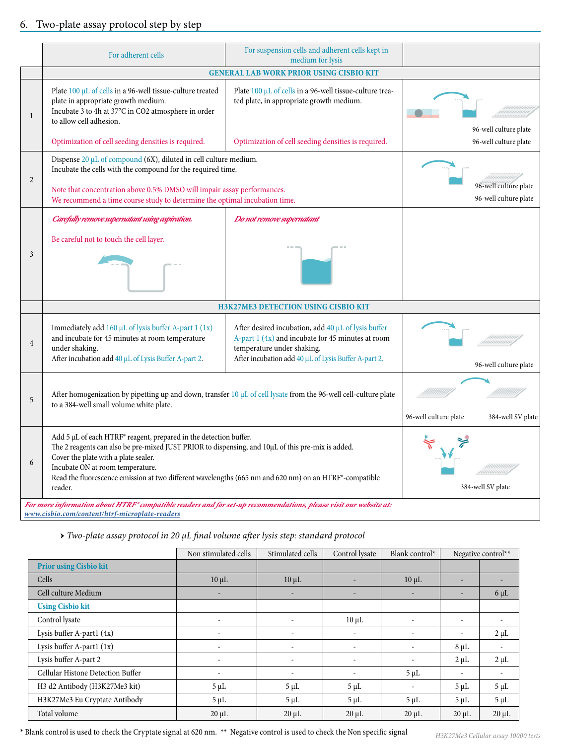# 6. Two-plate assay protocol step by step

|                | For adherent cells                                                                                                                                                                                                                                                                                                                                                      | For suspension cells and adherent cells kept in<br>medium for lysis                                                                                                                            |                       |                                                |  |  |
|----------------|-------------------------------------------------------------------------------------------------------------------------------------------------------------------------------------------------------------------------------------------------------------------------------------------------------------------------------------------------------------------------|------------------------------------------------------------------------------------------------------------------------------------------------------------------------------------------------|-----------------------|------------------------------------------------|--|--|
|                | <b>GENERAL LAB WORK PRIOR USING CISBIO KIT</b>                                                                                                                                                                                                                                                                                                                          |                                                                                                                                                                                                |                       |                                                |  |  |
| 1              | Plate 100 µL of cells in a 96-well tissue-culture treated<br>plate in appropriate growth medium.<br>Incubate 3 to 4h at 37°C in CO2 atmosphere in order<br>to allow cell adhesion.                                                                                                                                                                                      | Plate 100 µL of cells in a 96-well tissue-culture trea-<br>ted plate, in appropriate growth medium.                                                                                            |                       | 96-well culture plate                          |  |  |
|                | Optimization of cell seeding densities is required.                                                                                                                                                                                                                                                                                                                     | Optimization of cell seeding densities is required.                                                                                                                                            |                       | 96-well culture plate                          |  |  |
| $\overline{2}$ | Dispense $20 \mu L$ of compound (6X), diluted in cell culture medium.<br>Incubate the cells with the compound for the required time.<br>Note that concentration above 0.5% DMSO will impair assay performances.<br>We recommend a time course study to determine the optimal incubation time.                                                                           |                                                                                                                                                                                                |                       | 96-well culture plate<br>96-well culture plate |  |  |
| 3              | Carefully remove supernatant using aspiration.<br>Be careful not to touch the cell layer.                                                                                                                                                                                                                                                                               | Do not remove supernatant                                                                                                                                                                      |                       |                                                |  |  |
|                |                                                                                                                                                                                                                                                                                                                                                                         | <b>H3K27ME3 DETECTION USING CISBIO KIT</b>                                                                                                                                                     |                       |                                                |  |  |
| $\overline{4}$ | Immediately add 160 µL of lysis buffer A-part 1 (1x)<br>and incubate for 45 minutes at room temperature<br>under shaking.<br>After incubation add 40 µL of Lysis Buffer A-part 2.                                                                                                                                                                                       | After desired incubation, add 40 µL of lysis buffer<br>A-part 1 (4x) and incubate for 45 minutes at room<br>temperature under shaking.<br>After incubation add 40 µL of Lysis Buffer A-part 2. |                       | 96-well culture plate                          |  |  |
| 5              | After homogenization by pipetting up and down, transfer 10 µL of cell lysate from the 96-well cell-culture plate<br>to a 384-well small volume white plate.                                                                                                                                                                                                             |                                                                                                                                                                                                | 96-well culture plate | 384-well SV plate                              |  |  |
| 6              | Add 5 µL of each HTRF® reagent, prepared in the detection buffer.<br>The 2 reagents can also be pre-mixed JUST PRIOR to dispensing, and 10µL of this pre-mix is added.<br>Cover the plate with a plate sealer.<br>Incubate ON at room temperature.<br>Read the fluorescence emission at two different wavelengths (665 nm and 620 nm) on an HTRF®-compatible<br>reader. |                                                                                                                                                                                                |                       | 384-well SV plate                              |  |  |
|                | For more information about HTRF® compatible readers and for set-up recommendations, please visit our website at:<br>www.cisbio.com/content/htrf-microplate-readers                                                                                                                                                                                                      |                                                                                                                                                                                                |                       |                                                |  |  |

*→ Two-plate assay protocol in 20 µL final volume after lysis step: standard protocol*

|                                   | Non stimulated cells     | Stimulated cells         | Control lysate           | Blank control*           |                          | Negative control**       |
|-----------------------------------|--------------------------|--------------------------|--------------------------|--------------------------|--------------------------|--------------------------|
| <b>Prior using Cisbio kit</b>     |                          |                          |                          |                          |                          |                          |
| Cells                             | $10 \mu L$               | $10 \mu L$               |                          | $10 \mu L$               | $\overline{\phantom{a}}$ |                          |
| Cell culture Medium               | $\overline{\phantom{a}}$ | ٠                        |                          | ٠                        | $\overline{\phantom{a}}$ | $6 \mu L$                |
| <b>Using Cisbio kit</b>           |                          |                          |                          |                          |                          |                          |
| Control lysate                    | $\overline{\phantom{a}}$ | $\overline{\phantom{a}}$ | $10 \mu L$               | $\overline{\phantom{a}}$ | $\overline{\phantom{a}}$ | $\overline{\phantom{a}}$ |
| Lysis buffer A-part1 (4x)         |                          | $\overline{\phantom{a}}$ | $\overline{\phantom{a}}$ | $\overline{\phantom{a}}$ | $\overline{\phantom{a}}$ | $2 \mu L$                |
| Lysis buffer A-part1 (1x)         |                          | $\overline{\phantom{a}}$ |                          |                          | $8 \mu L$                | $\overline{\phantom{a}}$ |
| Lysis buffer A-part 2             | $\overline{\phantom{0}}$ | $\overline{\phantom{a}}$ | $\overline{\phantom{a}}$ | $\overline{\phantom{a}}$ | $2 \mu L$                | $2 \mu L$                |
| Cellular Histone Detection Buffer | $\overline{\phantom{a}}$ | $\overline{\phantom{a}}$ | $\overline{\phantom{a}}$ | $5 \mu L$                | $\overline{\phantom{a}}$ |                          |
| H3 d2 Antibody (H3K27Me3 kit)     | $5 \mu L$                | $5 \mu L$                | $5 \mu L$                | $\overline{\phantom{a}}$ | $5 \mu L$                | $5 \mu L$                |
| H3K27Me3 Eu Cryptate Antibody     | $5 \mu L$                | $5 \mu L$                | $5 \mu L$                | $5 \mu L$                | $5 \mu L$                | $5 \mu L$                |
| Total volume                      | $20 \mu L$               | $20 \mu L$               | $20 \mu L$               | $20 \mu L$               | $20 \mu L$               | $20 \mu L$               |

 $^\star$  Blank control is used to check the Cryptate signal at 620 nm.  $^{**}$  Negative control is used to check the Non specific signal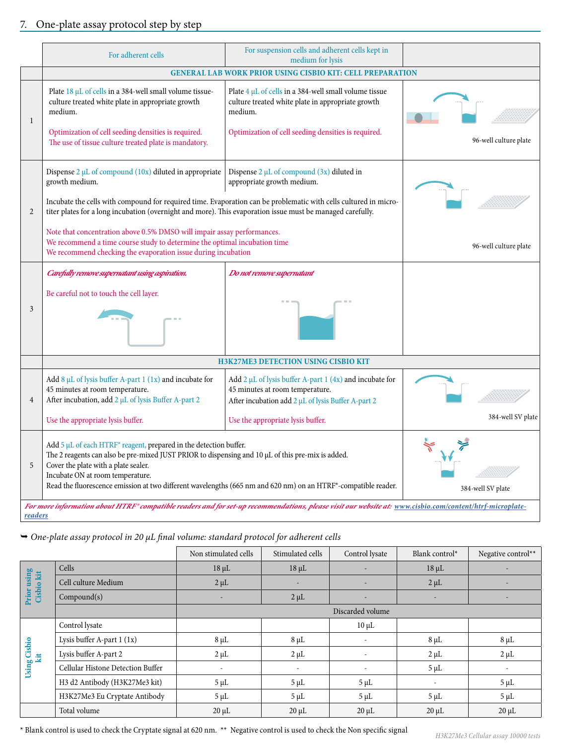|                | For adherent cells                                                                                                                                                                                                                                                                                                                                                   | For suspension cells and adherent cells kept in<br>medium for lysis                                                                                                                        |                       |
|----------------|----------------------------------------------------------------------------------------------------------------------------------------------------------------------------------------------------------------------------------------------------------------------------------------------------------------------------------------------------------------------|--------------------------------------------------------------------------------------------------------------------------------------------------------------------------------------------|-----------------------|
|                |                                                                                                                                                                                                                                                                                                                                                                      | <b>GENERAL LAB WORK PRIOR USING CISBIO KIT: CELL PREPARATION</b>                                                                                                                           |                       |
| $\mathbf{1}$   | Plate 18 µL of cells in a 384-well small volume tissue-<br>culture treated white plate in appropriate growth<br>medium.<br>Optimization of cell seeding densities is required.<br>The use of tissue culture treated plate is mandatory.                                                                                                                              | Plate $4 \mu L$ of cells in a 384-well small volume tissue<br>culture treated white plate in appropriate growth<br>medium.<br>Optimization of cell seeding densities is required.          | 96-well culture plate |
| $\overline{2}$ | Dispense $2 \mu L$ of compound (10x) diluted in appropriate<br>growth medium.<br>Incubate the cells with compound for required time. Evaporation can be problematic with cells cultured in micro-<br>titer plates for a long incubation (overnight and more). This evaporation issue must be managed carefully.                                                      | Dispense $2 \mu L$ of compound $(3x)$ diluted in<br>appropriate growth medium.                                                                                                             |                       |
|                | Note that concentration above 0.5% DMSO will impair assay performances.<br>We recommend a time course study to determine the optimal incubation time<br>We recommend checking the evaporation issue during incubation                                                                                                                                                |                                                                                                                                                                                            | 96-well culture plate |
| 3              | Carefully remove supernatant using aspiration.<br>Be careful not to touch the cell layer.                                                                                                                                                                                                                                                                            | Do not remove supernatant                                                                                                                                                                  |                       |
|                |                                                                                                                                                                                                                                                                                                                                                                      | <b>H3K27ME3 DETECTION USING CISBIO KIT</b>                                                                                                                                                 |                       |
| $\overline{4}$ | Add 8 $\mu$ L of lysis buffer A-part 1 (1x) and incubate for<br>45 minutes at room temperature.<br>After incubation, add 2 µL of lysis Buffer A-part 2<br>Use the appropriate lysis buffer.                                                                                                                                                                          | Add $2 \mu L$ of lysis buffer A-part 1 (4x) and incubate for<br>45 minutes at room temperature.<br>After incubation add 2 µL of lysis Buffer A-part 2<br>Use the appropriate lysis buffer. | 384-well SV plate     |
| 5              | Add 5 µL of each HTRF® reagent, prepared in the detection buffer.<br>The 2 reagents can also be pre-mixed JUST PRIOR to dispensing and 10 µL of this pre-mix is added.<br>Cover the plate with a plate sealer.<br>Incubate ON at room temperature.<br>Read the fluorescence emission at two different wavelengths (665 nm and 620 nm) on an HTRF®-compatible reader. |                                                                                                                                                                                            | 384-well SV plate     |
| readers        | For more information about HTRF® compatible readers and for set-up recommendations, please visit our website at: www.cisbio.com/content/htrf-microplate-                                                                                                                                                                                                             |                                                                                                                                                                                            |                       |

 *One-plate assay protocol in 20 µL final volume: standard protocol for adherent cells*

|                           |                                   | Non stimulated cells     | Stimulated cells | Control lysate   | Blank control*           | Negative control** |
|---------------------------|-----------------------------------|--------------------------|------------------|------------------|--------------------------|--------------------|
|                           | Cells                             | $18 \mu L$               | $18 \mu L$       |                  | $18 \mu L$               |                    |
| Prior using<br>Cisbio kit | Cell culture Medium               | $2 \mu L$                |                  |                  | $2 \mu L$                |                    |
|                           | Compound(s)                       | $\overline{\phantom{a}}$ | $2 \mu L$        | ٠                |                          |                    |
|                           |                                   |                          |                  | Discarded volume |                          |                    |
|                           | Control lysate                    |                          |                  | $10 \mu L$       |                          |                    |
|                           | Lysis buffer A-part 1 (1x)        | $8 \mu L$                | $8 \mu L$        |                  | $8 \mu L$                | $8 \mu L$          |
| Using Cisbio<br>kit       | Lysis buffer A-part 2             | $2 \mu L$                | $2 \mu L$        |                  | $2 \mu L$                | $2 \mu L$          |
|                           | Cellular Histone Detection Buffer |                          |                  |                  | $5 \mu L$                |                    |
|                           | H3 d2 Antibody (H3K27Me3 kit)     | $5 \mu L$                | $5 \mu L$        | $5 \mu L$        | $\overline{\phantom{a}}$ | $5 \mu L$          |
|                           | H3K27Me3 Eu Cryptate Antibody     | $5 \mu L$                | $5 \mu L$        | $5 \mu L$        | $5 \mu L$                | $5 \mu L$          |
|                           | Total volume                      | $20 \mu L$               | $20 \mu L$       | $20 \mu L$       | $20 \mu L$               | $20 \mu L$         |

\* Blank control is used to check the Cryptate signal at 620 nm. \*\* Negative control is used to check the Non specific signal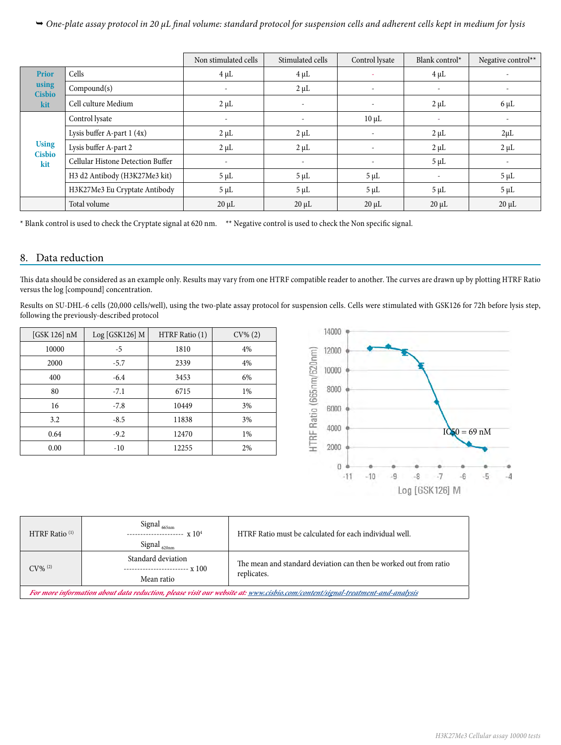*One-plate assay protocol in 20 µL final volume: standard protocol for suspension cells and adherent cells kept in medium for lysis*

|                               |                                   | Non stimulated cells     | Stimulated cells         | Control lysate           | Blank control $*$        | Negative control**       |
|-------------------------------|-----------------------------------|--------------------------|--------------------------|--------------------------|--------------------------|--------------------------|
| <b>Prior</b>                  | Cells                             | $4 \mu L$                | $4 \mu L$                |                          | $4 \mu L$                |                          |
| using<br><b>Cisbio</b>        | Compound(s)                       | $\overline{\phantom{a}}$ | $2 \mu L$                | $\overline{\phantom{a}}$ | $\overline{\phantom{a}}$ |                          |
| kit                           | Cell culture Medium               | $2 \mu L$                | $\overline{\phantom{a}}$ | $\overline{\phantom{a}}$ | $2 \mu L$                | $6 \mu L$                |
|                               | Control lysate                    | $\overline{\phantom{a}}$ | $\overline{\phantom{a}}$ | $10 \mu L$               | ٠                        |                          |
|                               | Lysis buffer A-part 1 (4x)        | $2 \mu L$                | $2 \mu L$                | $\overline{\phantom{a}}$ | $2 \mu L$                | $2\mu L$                 |
| <b>Using</b><br><b>Cisbio</b> | Lysis buffer A-part 2             | $2 \mu L$                | $2 \mu L$                |                          | $2 \mu L$                | $2 \mu L$                |
| kit                           | Cellular Histone Detection Buffer | $\overline{\phantom{a}}$ | $\overline{\phantom{a}}$ | $\sim$                   | $5 \mu L$                | $\overline{\phantom{a}}$ |
|                               | H3 d2 Antibody (H3K27Me3 kit)     | $5 \mu L$                | $5 \mu L$                | $5 \mu L$                | $\overline{\phantom{a}}$ | $5 \mu L$                |
|                               | H3K27Me3 Eu Cryptate Antibody     | $5 \mu L$                | $5 \mu L$                | $5 \mu L$                | $5 \mu L$                | $5 \mu L$                |
|                               | Total volume                      | $20 \mu L$               | $20 \mu L$               | $20 \mu L$               | $20 \mu L$               | $20 \mu L$               |

\* Blank control is used to check the Cryptate signal at 620 nm. \*\* Negative control is used to check the Non specific signal.

### 8. Data reduction

This data should be considered as an example only. Results may vary from one HTRF compatible reader to another. The curves are drawn up by plotting HTRF Ratio versus the log [compound] concentration.

Results on SU-DHL-6 cells (20,000 cells/well), using the two-plate assay protocol for suspension cells. Cells were stimulated with GSK126 for 72h before lysis step, following the previously-described protocol

| [GSK 126] nM | Log [GSK126] M | HTRF Ratio (1) | $CV\% (2)$ |
|--------------|----------------|----------------|------------|
| 10000        | $-5$           | 1810           | 4%         |
| 2000         | $-5.7$         | 2339           | 4%         |
| 400          | $-6.4$         | 3453           | 6%         |
| 80           | $-7.1$         | 6715           | 1%         |
| 16           | $-7.8$         | 10449          | 3%         |
| 3.2          | $-8.5$         | 11838          | 3%         |
| 0.64         | $-9.2$         | 12470          | 1%         |
| 0.00         | $-10$          | 12255          | 2%         |



| HTRF Ratio <sup>(1)</sup>                                                                                                    | Signal <sub>665nm</sub><br>$\mathbf{x}$ 10 <sup>4</sup><br>----------------<br>Signal <sub>620nm</sub> | HTRF Ratio must be calculated for each individual well.                          |  |  |
|------------------------------------------------------------------------------------------------------------------------------|--------------------------------------------------------------------------------------------------------|----------------------------------------------------------------------------------|--|--|
| $CV\%$ <sup>(2)</sup>                                                                                                        | Standard deviation<br>--- x 100<br>-------------------<br>Mean ratio                                   | The mean and standard deviation can then be worked out from ratio<br>replicates. |  |  |
| For more information about data reduction, please visit our website at: www.cisbio.com/content/signal-treatment-and-analysis |                                                                                                        |                                                                                  |  |  |